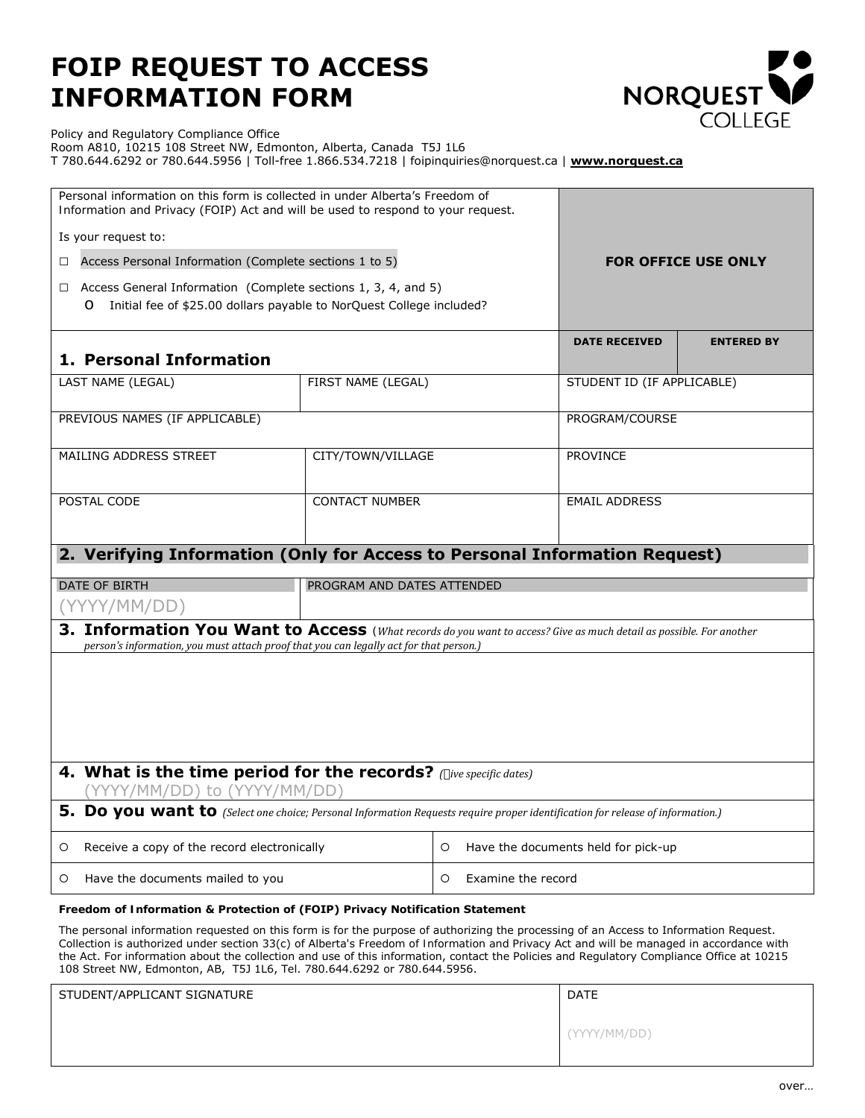## **FOIP REQUEST TO ACCESS INFORMATION FORM**



Policy and Regulatory Compliance Office

Room A810, 10215 108 Street NW, Edmonton, Alberta, Canada T5J 1L6 T 780.644.6292 or 780.644.5956 | Toll-free 1.866.534.7218 | foipinquiries@norquest.ca | **[www.norquest.ca](http://www.norquest.ca/)**

| Personal information on this form is collected in under Alberta's Freedom of<br>Information and Privacy (FOIP) Act and will be used to respond to your request.                                               |                            |                      |                                     |  |
|---------------------------------------------------------------------------------------------------------------------------------------------------------------------------------------------------------------|----------------------------|----------------------|-------------------------------------|--|
| Is your request to:                                                                                                                                                                                           |                            |                      |                                     |  |
| Access Personal Information (Complete sections 1 to 5)<br>П.                                                                                                                                                  |                            |                      | <b>FOR OFFICE USE ONLY</b>          |  |
| Access General Information (Complete sections 1, 3, 4, and 5)<br>$\Box$<br>Initial fee of \$25.00 dollars payable to NorQuest College included?<br>$\circ$                                                    |                            |                      |                                     |  |
| 1. Personal Information                                                                                                                                                                                       |                            | <b>DATE RECEIVED</b> | <b>ENTERED BY</b>                   |  |
| LAST NAME (LEGAL)                                                                                                                                                                                             | FIRST NAME (LEGAL)         |                      | STUDENT ID (IF APPLICABLE)          |  |
| PREVIOUS NAMES (IF APPLICABLE)                                                                                                                                                                                |                            | PROGRAM/COURSE       |                                     |  |
| <b>MAILING ADDRESS STREET</b>                                                                                                                                                                                 | CITY/TOWN/VILLAGE          |                      | <b>PROVINCE</b>                     |  |
| POSTAL CODE                                                                                                                                                                                                   | <b>CONTACT NUMBER</b>      |                      | <b>EMAIL ADDRESS</b>                |  |
| 2. Verifying Information (Only for Access to Personal Information Request)                                                                                                                                    |                            |                      |                                     |  |
|                                                                                                                                                                                                               |                            |                      |                                     |  |
| <b>DATE OF BIRTH</b>                                                                                                                                                                                          | PROGRAM AND DATES ATTENDED |                      |                                     |  |
| (YYYY/MM/DD)                                                                                                                                                                                                  |                            |                      |                                     |  |
| 3. Information You Want to Access (What records do you want to access? Give as much detail as possible. For another<br>person's information, you must attach proof that you can legally act for that person.) |                            |                      |                                     |  |
|                                                                                                                                                                                                               |                            |                      |                                     |  |
|                                                                                                                                                                                                               |                            |                      |                                     |  |
|                                                                                                                                                                                                               |                            |                      |                                     |  |
|                                                                                                                                                                                                               |                            |                      |                                     |  |
| 4. What is the time period for the records? (five specific dates)<br>(YYYY/MM/DD) to (YYYY/MM/DD)                                                                                                             |                            |                      |                                     |  |
| 5. Do you want to (Select one choice; Personal Information Requests require proper identification for release of information.)                                                                                |                            |                      |                                     |  |
| Receive a copy of the record electronically<br>O                                                                                                                                                              |                            | O                    | Have the documents held for pick-up |  |

## *Freedom of Information & Protection of* **(FOIP)** *Privac***y Notification Statement**

The personal information requested on this form is for the purpose of authorizing the processing of an Access to Information Request. Collection is authorized under section 33(c) of Alberta's *Freedom of Information and Privacy Act* and will be managed in accordance with the Act. For information about the collection and use of this information, contact the Policies and Regulatory Compliance Office at 10215 108 Street NW, Edmonton, AB, T5J 1L6, Tel. 780.644.6292 or 780.644.5956.

| STUDENT/APPLICANT SIGNATURE | <b>DATE</b>  |
|-----------------------------|--------------|
|                             | (YYYY/MM/DD) |